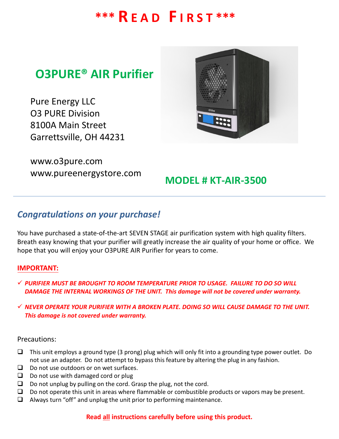# **\*\*\* R E A D F I R S T \*\*\***

# **O3PURE® AIR Purifier**

Pure Energy LLC O3 PURE Division 8100A Main Street Garrettsville, OH 44231

www.o3pure.com www.pureenergystore.com



## **MODEL # KT-AIR-3500**

### *Congratulations on your purchase!*

You have purchased a state-of-the-art SEVEN STAGE air purification system with high quality filters. Breath easy knowing that your purifier will greatly increase the air quality of your home or office. We hope that you will enjoy your O3PURE AIR Purifier for years to come.

#### **IMPORTANT:**

- *PURIFIER MUST BE BROUGHT TO ROOM TEMPERATURE PRIOR TO USAGE. FAILURE TO DO SO WILL DAMAGE THE INTERNAL WORKINGS OF THE UNIT. This damage will not be covered under warranty.*
- *NEVER OPERATE YOUR PURIFIER WITH A BROKEN PLATE. DOING SO WILL CAUSE DAMAGE TO THE UNIT. This damage is not covered under warranty.*

#### Precautions:

- $\Box$  This unit employs a ground type (3 prong) plug which will only fit into a grounding type power outlet. Do not use an adapter. Do not attempt to bypass this feature by altering the plug in any fashion.
- $\Box$  Do not use outdoors or on wet surfaces.
- $\Box$  Do not use with damaged cord or plug
- $\Box$  Do not unplug by pulling on the cord. Grasp the plug, not the cord.
- $\Box$  Do not operate this unit in areas where flammable or combustible products or vapors may be present.
- $\Box$  Always turn "off" and unplug the unit prior to performing maintenance.

#### **Read all instructions carefully before using this product.**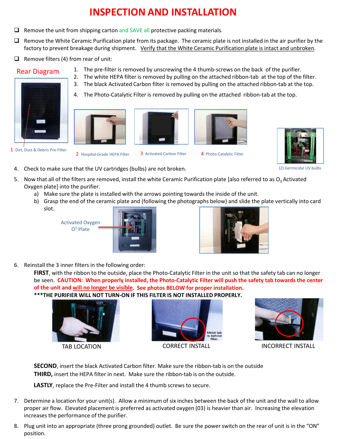# **INSPECTION AND INSTALLATION**

- $\Box$  Remove the unit from shipping carton and SAVE all protective packing materials.
- $\Box$  Remove the White Ceramic Purification plate from its package. The ceramic plate is not installed in the air purifier by the factory to prevent breakage during shipment. Verify that the White Ceramic Purification plate is intact and unbroken.
- $\Box$  Remove filters (4) from rear of unit:



![](_page_1_Picture_5.jpeg)

![](_page_1_Picture_6.jpeg)

4. The Photo-Catalytic Filter is removed by pulling on the attached ribbon-tab at the top.

1. The pre-filter is removed by unscrewing the 4 thumb-screws on the back of the purifier.

![](_page_1_Picture_8.jpeg)

![](_page_1_Picture_9.jpeg)

(2) Germicidal UV bulbs

- 4. Check to make sure that the UV cartridges (bulbs) are not broken.
- 5. Now that all of the filters are removed, install the white Ceramic Purification plate [also referred to as  $O_3$  Activated Oxygen plate] into the purifier.
	- a) Make sure the plate is installed with the arrows pointing towards the inside of the unit.
	- b) Grasp the end of the ceramic plate and (following the photographs below) and slide the plate vertically into card slot.

![](_page_1_Picture_15.jpeg)

![](_page_1_Picture_16.jpeg)

![](_page_1_Picture_17.jpeg)

6. Reinstall the 3 inner filters in the following order:

**FIRST**, with the ribbon to the outside, place the Photo-Catalytic Filter in the unit so that the safety tab can no longer be seen. **CAUTION: When properly installed, the Photo-Catalytic Filter will push the safety tab towards the center of the unit and will no longer be visible. See photos BELOW for proper installation.** 

**\*\*\*THE PURIFIER WILL NOT TURN-ON IF THIS FILTER IS NOT INSTALLED PROPERLY.**

![](_page_1_Picture_21.jpeg)

![](_page_1_Figure_23.jpeg)

![](_page_1_Picture_25.jpeg)

TAB LOCATION CORRECT INSTALL INCORRECT INSTALL

**SECOND**, insert the black Activated Carbon filter. Make sure the ribbon-tab is on the outside **THIRD,** insert the HEPA filter in next. Make sure the ribbon-tab is on the outside.

**LASTLY**, replace the Pre-Filter and install the 4 thumb screws to secure.

- 7. Determine a location for your unit(s). Allow a minimum of six inches between the back of the unit and the wall to allow proper air flow. Elevated placement is preferred as activated oxygen (03) is heavier than air. Increasing the elevation increases the performance of the purifier.
- 8. Plug unit into an appropriate (three prong grounded) outlet. Be sure the power switch on the rear of unit is in the "ON" position.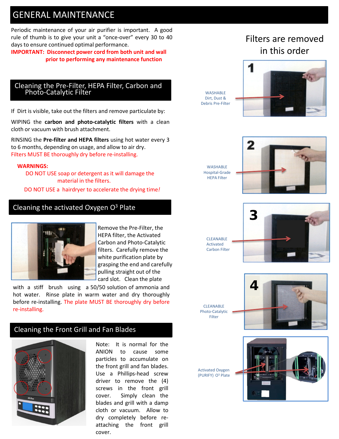## GENERAL MAINTENANCE

Periodic maintenance of your air purifier is important. A good rule of thumb is to give your unit a "once-over" every 30 to 40 days to ensure continued optimal performance.

**IMPORTANT: Disconnect power cord from both unit and wall prior to performing any maintenance function**

#### Cleaning the Pre-Filter, HEPA Filter, Carbon and Photo-Catalytic Filter

If Dirt is visible, take out the filters and remove particulate by:

WIPING the **carbon and photo-catalytic filters** with a clean cloth or vacuum with brush attachment.

RINSING the **Pre-filter and HEPA filters** using hot water every 3 to 6 months, depending on usage, and allow to air dry. Filters MUST BE thoroughly dry before re-installing.

#### **WARNINGS:**

DO NOT USE soap or detergent as it will damage the material in the filters.

DO NOT USE a hairdryer to accelerate the drying time*!*

#### Cleaning the activated Oxygen  $O<sup>3</sup>$  Plate

![](_page_2_Picture_11.jpeg)

Remove the Pre-Filter, the HEPA filter, the Activated Carbon and Photo-Catalytic filters. Carefully remove the white purification plate by grasping the end and carefully pulling straight out of the card slot. Clean the plate

with a stiff brush using a 50/50 solution of ammonia and hot water. Rinse plate in warm water and dry thoroughly before re-installing. The plate MUST BE thoroughly dry before re-installing.

#### Cleaning the Front Grill and Fan Blades

![](_page_2_Picture_15.jpeg)

Note: It is normal for the ANION to cause some particles to accumulate on the front grill and fan blades. Use a Phillips-head screw driver to remove the (4) screws in the front grill cover. Simply clean the blades and grill with a damp cloth or vacuum. Allow to dry completely before reattaching the front grill cover.

## Filters are removed in this order

**WASHABLE** Dirt, Dust & Debris Pre-Filter

**WASHARLE** 

HEPA Filter

![](_page_2_Picture_19.jpeg)

![](_page_2_Picture_20.jpeg)

![](_page_2_Picture_21.jpeg)

CLEANABLE Photo-Catalytic Filter

![](_page_2_Picture_23.jpeg)

Activated Oxygen (PURIFY) O3 Plate

![](_page_2_Picture_25.jpeg)